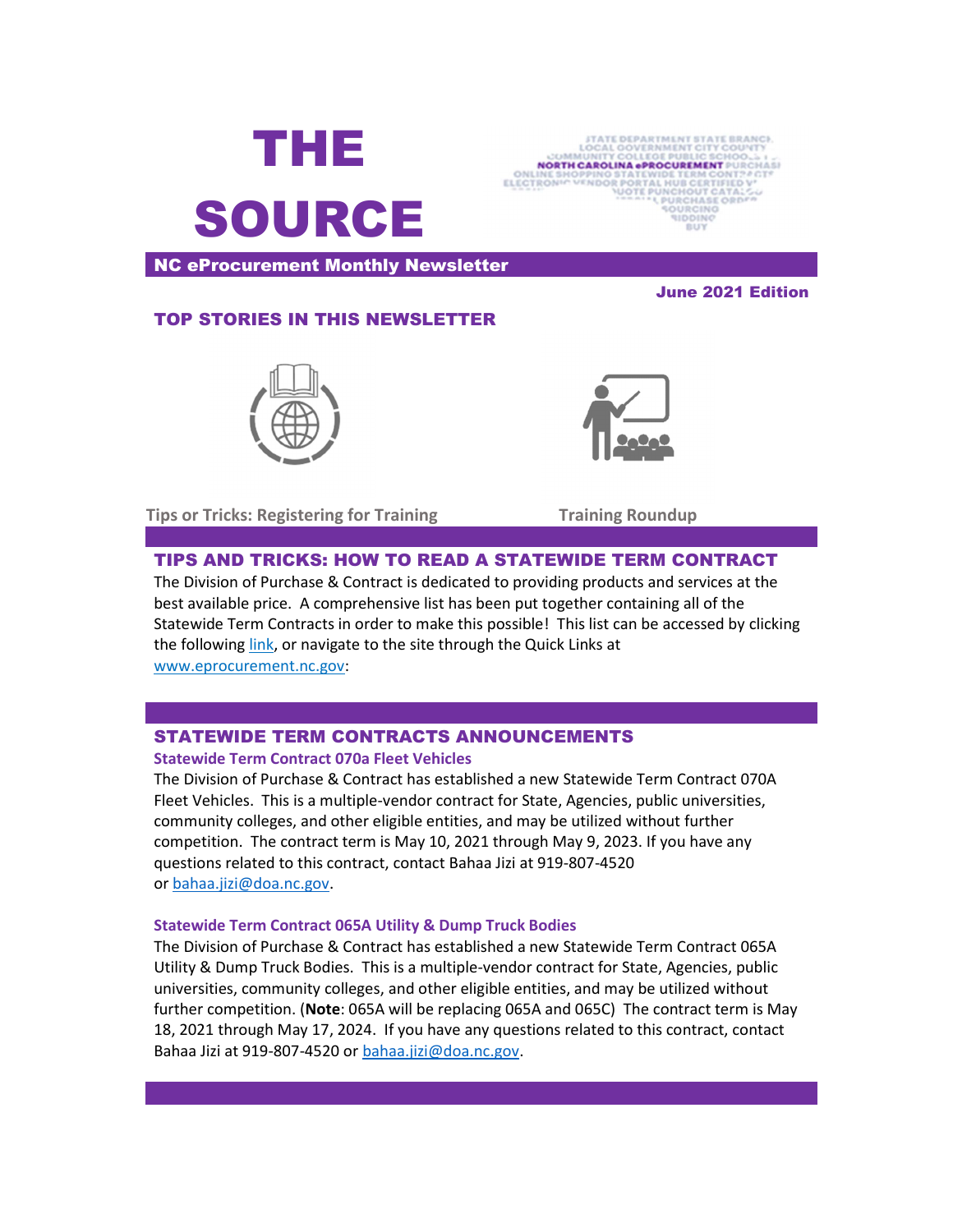



NC eProcurement Monthly Newsletter

June 2021 Edition

### TOP STORIES IN THIS NEWSLETTER



Tips or Tricks: Registering for Training Training Roundup

## TIPS AND TRICKS: HOW TO READ A STATEWIDE TERM CONTRACT

The Division of Purchase & Contract is dedicated to providing products and services at the best available price. A comprehensive list has been put together containing all of the Statewide Term Contracts in order to make this possible! This list can be accessed by clicking the following link, or navigate to the site through the Quick Links at www.eprocurement.nc.gov:

# STATEWIDE TERM CONTRACTS ANNOUNCEMENTS

#### Statewide Term Contract 070a Fleet Vehicles

The Division of Purchase & Contract has established a new Statewide Term Contract 070A Fleet Vehicles. This is a multiple-vendor contract for State, Agencies, public universities, community colleges, and other eligible entities, and may be utilized without further competition. The contract term is May 10, 2021 through May 9, 2023. If you have any questions related to this contract, contact Bahaa Jizi at 919-807-4520 or bahaa.jizi@doa.nc.gov.

#### Statewide Term Contract 065A Utility & Dump Truck Bodies

The Division of Purchase & Contract has established a new Statewide Term Contract 065A Utility & Dump Truck Bodies. This is a multiple-vendor contract for State, Agencies, public universities, community colleges, and other eligible entities, and may be utilized without further competition. (Note: 065A will be replacing 065A and 065C) The contract term is May 18, 2021 through May 17, 2024. If you have any questions related to this contract, contact Bahaa Jizi at 919-807-4520 or bahaa.jizi@doa.nc.gov.